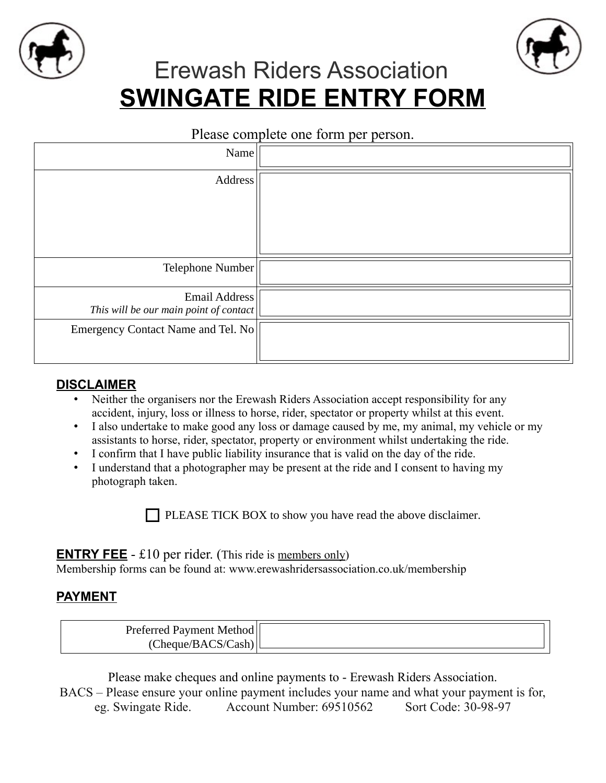



# Erewash Riders Association **SWINGATE RIDE ENTRY FORM**

#### Please complete one form per person.

| Name                                                    |  |
|---------------------------------------------------------|--|
| Address                                                 |  |
|                                                         |  |
|                                                         |  |
|                                                         |  |
| Telephone Number                                        |  |
| Email Address<br>This will be our main point of contact |  |
| Emergency Contact Name and Tel. No                      |  |
|                                                         |  |

#### **DISCLAIMER**

- Neither the organisers nor the Erewash Riders Association accept responsibility for any accident, injury, loss or illness to horse, rider, spectator or property whilst at this event.
- I also undertake to make good any loss or damage caused by me, my animal, my vehicle or my assistants to horse, rider, spectator, property or environment whilst undertaking the ride.
- I confirm that I have public liability insurance that is valid on the day of the ride.
- I understand that a photographer may be present at the ride and I consent to having my photograph taken.

 $\Box$  PLEASE TICK BOX to show you have read the above disclaimer.

## **ENTRY FEE** - £10 per rider. (This ride is members only)

Membership forms can be found at: [www.erewashridersassociation.co.uk/membership](http://www.erewashridersassociation.co.uk/membership)

## **PAYMENT**

| Preferred Payment Method |  |
|--------------------------|--|
| `heane/BACS/C<br>lash.   |  |

Please make cheques and online payments to - Erewash Riders Association.

BACS – Please ensure your online payment includes your name and what your payment is for, eg. Swingate Ride. Account Number: 69510562 Sort Code: 30-98-97